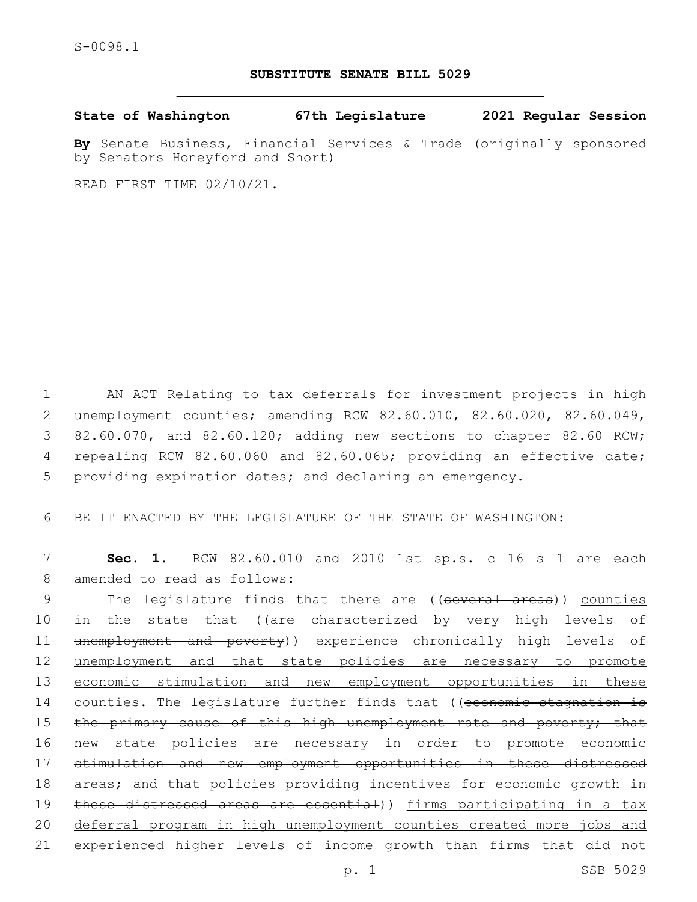## **SUBSTITUTE SENATE BILL 5029**

**State of Washington 67th Legislature 2021 Regular Session**

**By** Senate Business, Financial Services & Trade (originally sponsored by Senators Honeyford and Short)

READ FIRST TIME 02/10/21.

1 AN ACT Relating to tax deferrals for investment projects in high 2 unemployment counties; amending RCW 82.60.010, 82.60.020, 82.60.049, 3 82.60.070, and 82.60.120; adding new sections to chapter 82.60 RCW; 4 repealing RCW 82.60.060 and 82.60.065; providing an effective date; 5 providing expiration dates; and declaring an emergency.

6 BE IT ENACTED BY THE LEGISLATURE OF THE STATE OF WASHINGTON:

7 **Sec. 1.** RCW 82.60.010 and 2010 1st sp.s. c 16 s 1 are each 8 amended to read as follows:

9 The legislature finds that there are ((several areas)) counties 10 in the state that ((are characterized by very high levels of 11 unemployment and poverty)) experience chronically high levels of 12 unemployment and that state policies are necessary to promote 13 economic stimulation and new employment opportunities in these 14 counties. The legislature further finds that ((economic stagnation is 15 the primary cause of this high unemployment rate and poverty; that 16 new state policies are necessary in order to promote economic 17 stimulation and new employment opportunities in these distressed 18 areas; and that policies providing incentives for economic growth in 19 these distressed areas are essential)) firms participating in a tax 20 deferral program in high unemployment counties created more jobs and 21 experienced higher levels of income growth than firms that did not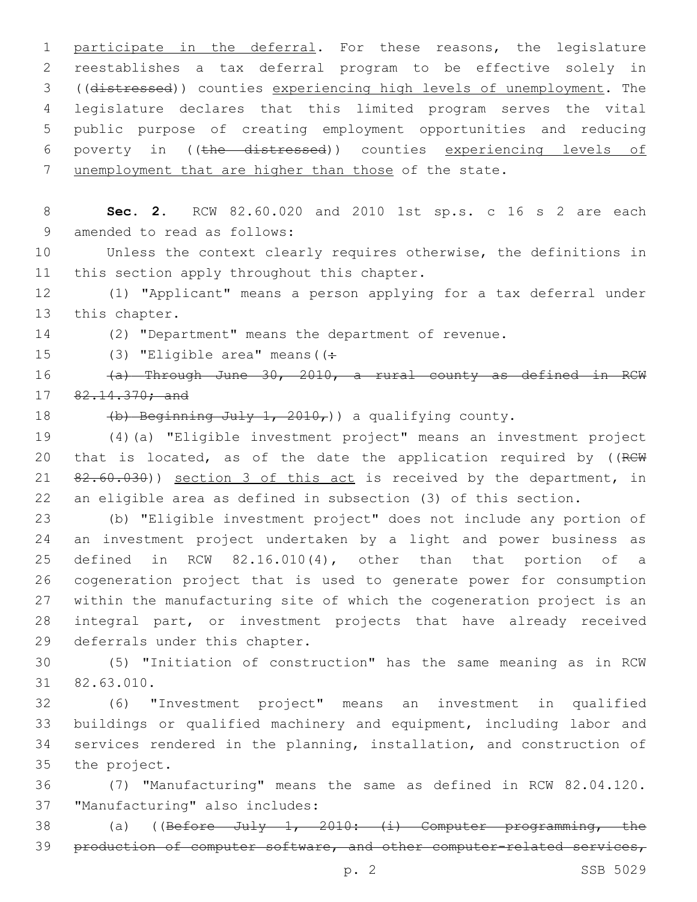participate in the deferral. For these reasons, the legislature reestablishes a tax deferral program to be effective solely in ((distressed)) counties experiencing high levels of unemployment. The legislature declares that this limited program serves the vital public purpose of creating employment opportunities and reducing poverty in ((the distressed)) counties experiencing levels of 7 unemployment that are higher than those of the state.

8 **Sec. 2.** RCW 82.60.020 and 2010 1st sp.s. c 16 s 2 are each 9 amended to read as follows:

10 Unless the context clearly requires otherwise, the definitions in 11 this section apply throughout this chapter.

12 (1) "Applicant" means a person applying for a tax deferral under 13 this chapter.

14 (2) "Department" means the department of revenue.

15 (3) "Eligible area" means ( $($  +

16 (a) Through June 30, 2010, a rural county as defined in RCW 17 82.14.370; and

18  $(b)$  Beginning July 1, 2010,) a qualifying county.

19 (4)(a) "Eligible investment project" means an investment project 20 that is located, as of the date the application required by ((RCW 21 82.60.030)) section 3 of this act is received by the department, in 22 an eligible area as defined in subsection (3) of this section.

 (b) "Eligible investment project" does not include any portion of an investment project undertaken by a light and power business as defined in RCW 82.16.010(4), other than that portion of a cogeneration project that is used to generate power for consumption within the manufacturing site of which the cogeneration project is an integral part, or investment projects that have already received 29 deferrals under this chapter.

30 (5) "Initiation of construction" has the same meaning as in RCW 82.63.010.31

 (6) "Investment project" means an investment in qualified buildings or qualified machinery and equipment, including labor and services rendered in the planning, installation, and construction of 35 the project.

36 (7) "Manufacturing" means the same as defined in RCW 82.04.120. 37 "Manufacturing" also includes:

38 (a) ((Before July 1, 2010: (i) Computer programming, the 39 production of computer software, and other computer-related services,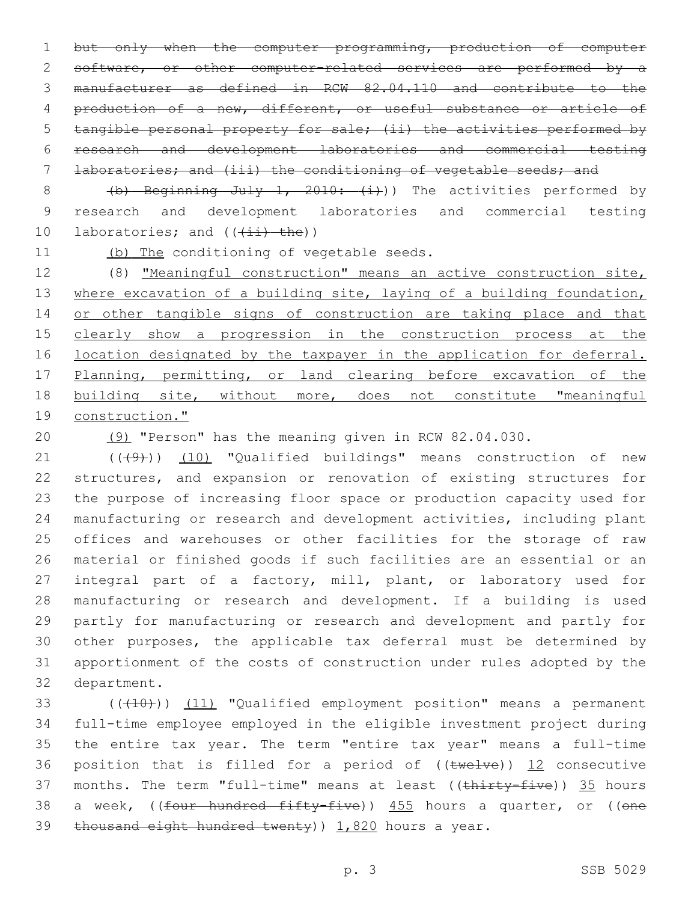1 but only when the computer programming, production of computer 2 software, or other computer-related services are performed by a 3 manufacturer as defined in RCW 82.04.110 and contribute to the 4 production of a new, different, or useful substance or article of 5 tangible personal property for sale; (ii) the activities performed by 6 research and development laboratories and commercial testing 7 laboratories; and (iii) the conditioning of vegetable seeds; and

8 (b) Beginning July 1, 2010: (i)) The activities performed by 9 research and development laboratories and commercial testing 10 laboratories; and  $((\pm i)^{\pm}$  the))

11 (b) The conditioning of vegetable seeds.

12 (8) "Meaningful construction" means an active construction site, 13 where excavation of a building site, laying of a building foundation, 14 or other tangible signs of construction are taking place and that 15 clearly show a progression in the construction process at the 16 location designated by the taxpayer in the application for deferral. 17 Planning, permitting, or land clearing before excavation of the 18 building site, without more, does not constitute "meaningful 19 construction."

20 (9) "Person" has the meaning given in RCW 82.04.030.

21 (((49))) (10) "Qualified buildings" means construction of new structures, and expansion or renovation of existing structures for the purpose of increasing floor space or production capacity used for manufacturing or research and development activities, including plant offices and warehouses or other facilities for the storage of raw material or finished goods if such facilities are an essential or an integral part of a factory, mill, plant, or laboratory used for manufacturing or research and development. If a building is used partly for manufacturing or research and development and partly for other purposes, the applicable tax deferral must be determined by apportionment of the costs of construction under rules adopted by the 32 department.

33 (((410))) (11) "Qualified employment position" means a permanent 34 full-time employee employed in the eligible investment project during 35 the entire tax year. The term "entire tax year" means a full-time 36 position that is filled for a period of  $((\text{true1ve}))$  12 consecutive 37 months. The term "full-time" means at least ((thirty-five)) 35 hours 38 a week, ((<del>four hundred fifty-five</del>)) 455 hours a quarter, or ((one 39 thousand eight hundred twenty)  $1,820$  hours a year.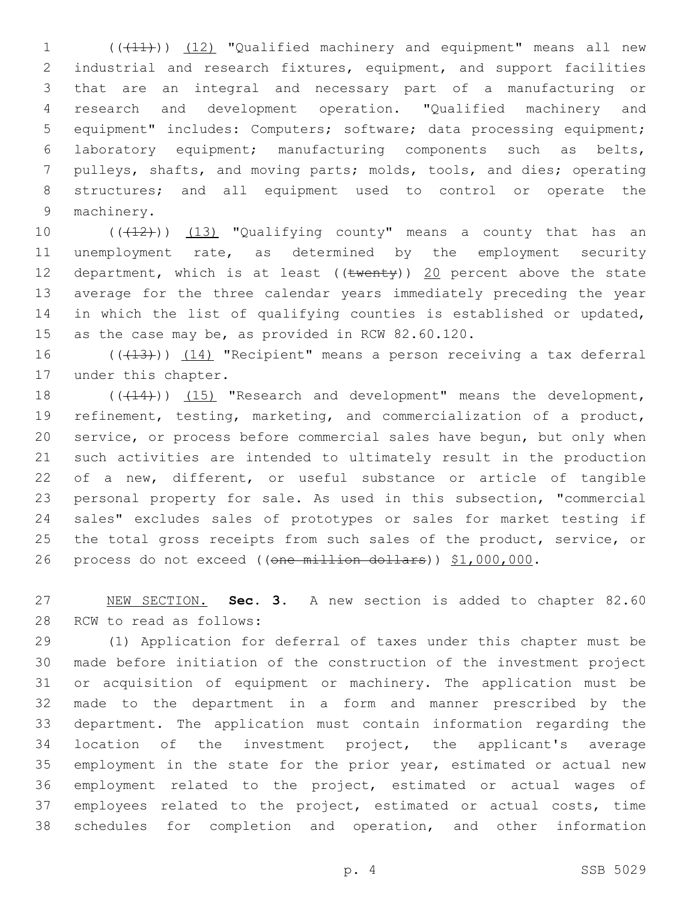(((11))) (12) "Qualified machinery and equipment" means all new industrial and research fixtures, equipment, and support facilities that are an integral and necessary part of a manufacturing or research and development operation. "Qualified machinery and equipment" includes: Computers; software; data processing equipment; laboratory equipment; manufacturing components such as belts, pulleys, shafts, and moving parts; molds, tools, and dies; operating structures; and all equipment used to control or operate the 9 machinery.

10 ((+12))) (13) "Qualifying county" means a county that has an unemployment rate, as determined by the employment security 12 department, which is at least ( $(\text{twenty})$ ) 20 percent above the state average for the three calendar years immediately preceding the year in which the list of qualifying counties is established or updated, 15 as the case may be, as provided in RCW 82.60.120.

16 ((+13))) (14) "Recipient" means a person receiving a tax deferral 17 under this chapter.

18 (( $(14)$ )) (15) "Research and development" means the development, refinement, testing, marketing, and commercialization of a product, service, or process before commercial sales have begun, but only when such activities are intended to ultimately result in the production of a new, different, or useful substance or article of tangible personal property for sale. As used in this subsection, "commercial sales" excludes sales of prototypes or sales for market testing if 25 the total gross receipts from such sales of the product, service, or 26 process do not exceed ((one million dollars)) \$1,000,000.

 NEW SECTION. **Sec. 3.** A new section is added to chapter 82.60 28 RCW to read as follows:

 (1) Application for deferral of taxes under this chapter must be made before initiation of the construction of the investment project or acquisition of equipment or machinery. The application must be made to the department in a form and manner prescribed by the department. The application must contain information regarding the location of the investment project, the applicant's average employment in the state for the prior year, estimated or actual new employment related to the project, estimated or actual wages of employees related to the project, estimated or actual costs, time schedules for completion and operation, and other information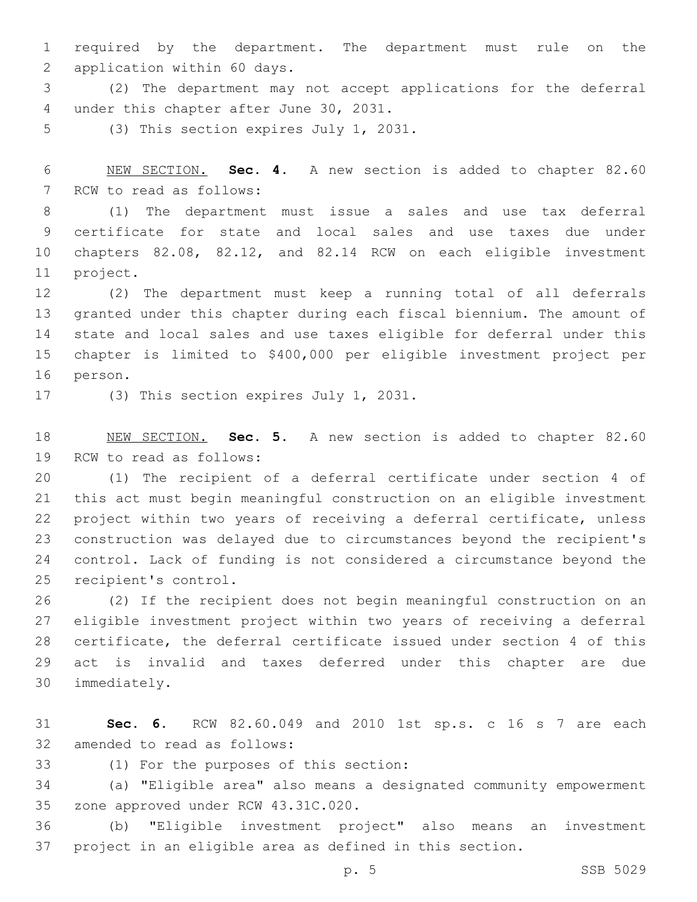required by the department. The department must rule on the 2 application within 60 days.

 (2) The department may not accept applications for the deferral 4 under this chapter after June 30, 2031.

5 (3) This section expires July 1, 2031.

 NEW SECTION. **Sec. 4.** A new section is added to chapter 82.60 7 RCW to read as follows:

 (1) The department must issue a sales and use tax deferral certificate for state and local sales and use taxes due under chapters 82.08, 82.12, and 82.14 RCW on each eligible investment 11 project.

 (2) The department must keep a running total of all deferrals granted under this chapter during each fiscal biennium. The amount of state and local sales and use taxes eligible for deferral under this chapter is limited to \$400,000 per eligible investment project per 16 person.

17 (3) This section expires July 1, 2031.

 NEW SECTION. **Sec. 5.** A new section is added to chapter 82.60 19 RCW to read as follows:

 (1) The recipient of a deferral certificate under section 4 of this act must begin meaningful construction on an eligible investment project within two years of receiving a deferral certificate, unless construction was delayed due to circumstances beyond the recipient's control. Lack of funding is not considered a circumstance beyond the 25 recipient's control.

 (2) If the recipient does not begin meaningful construction on an eligible investment project within two years of receiving a deferral certificate, the deferral certificate issued under section 4 of this act is invalid and taxes deferred under this chapter are due immediately.30

 **Sec. 6.** RCW 82.60.049 and 2010 1st sp.s. c 16 s 7 are each 32 amended to read as follows:

(1) For the purposes of this section:33

 (a) "Eligible area" also means a designated community empowerment 35 zone approved under RCW 43.31C.020.

 (b) "Eligible investment project" also means an investment project in an eligible area as defined in this section.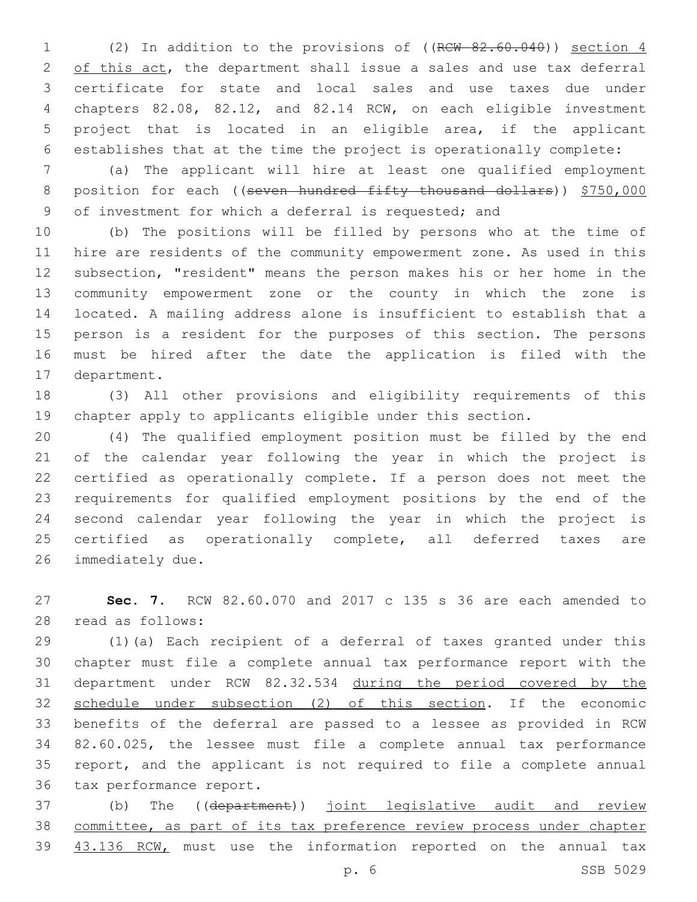(2) In addition to the provisions of ((RCW 82.60.040)) section 4 2 of this act, the department shall issue a sales and use tax deferral certificate for state and local sales and use taxes due under chapters 82.08, 82.12, and 82.14 RCW, on each eligible investment project that is located in an eligible area, if the applicant establishes that at the time the project is operationally complete:

 (a) The applicant will hire at least one qualified employment 8 position for each ((seven hundred fifty thousand dollars)) \$750,000 of investment for which a deferral is requested; and

 (b) The positions will be filled by persons who at the time of hire are residents of the community empowerment zone. As used in this subsection, "resident" means the person makes his or her home in the community empowerment zone or the county in which the zone is located. A mailing address alone is insufficient to establish that a person is a resident for the purposes of this section. The persons must be hired after the date the application is filed with the 17 department.

 (3) All other provisions and eligibility requirements of this chapter apply to applicants eligible under this section.

 (4) The qualified employment position must be filled by the end of the calendar year following the year in which the project is certified as operationally complete. If a person does not meet the requirements for qualified employment positions by the end of the second calendar year following the year in which the project is 25 certified as operationally complete, all deferred taxes are 26 immediately due.

 **Sec. 7.** RCW 82.60.070 and 2017 c 135 s 36 are each amended to 28 read as follows:

 (1)(a) Each recipient of a deferral of taxes granted under this chapter must file a complete annual tax performance report with the department under RCW 82.32.534 during the period covered by the schedule under subsection (2) of this section. If the economic benefits of the deferral are passed to a lessee as provided in RCW 82.60.025, the lessee must file a complete annual tax performance report, and the applicant is not required to file a complete annual 36 tax performance report.

37 (b) The ((department)) joint legislative audit and review 38 committee, as part of its tax preference review process under chapter 39 43.136 RCW, must use the information reported on the annual tax

p. 6 SSB 5029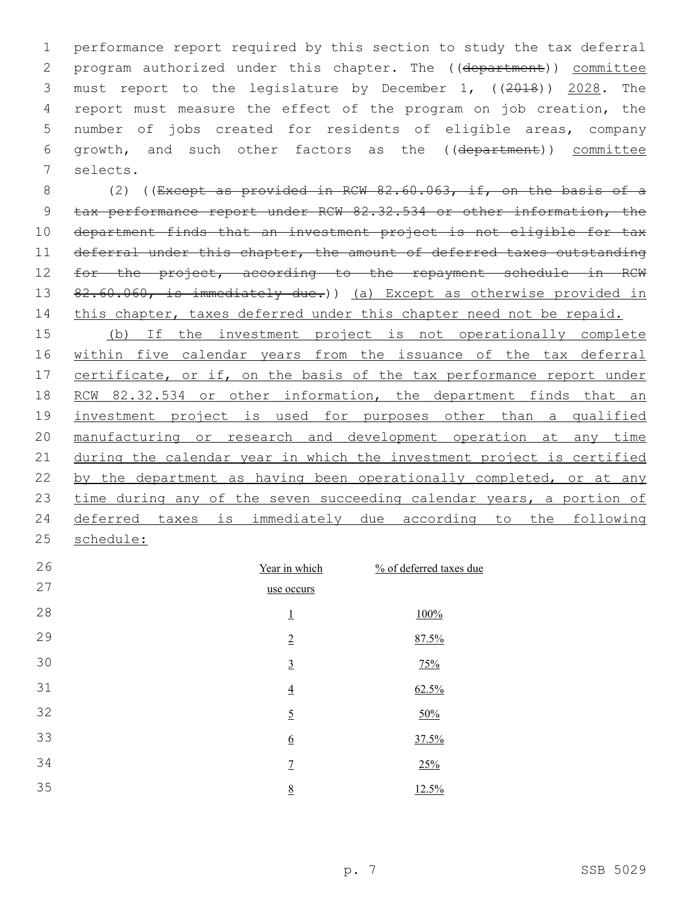1 performance report required by this section to study the tax deferral 2 program authorized under this chapter. The ((department)) committee 3 must report to the legislature by December 1, ((2018)) 2028. The 4 report must measure the effect of the program on job creation, the 5 number of jobs created for residents of eligible areas, company 6 growth, and such other factors as the ((department)) committee 7 selects.

8 (2) ((Except as provided in RCW 82.60.063, if, on the basis of a 9 tax performance report under RCW 82.32.534 or other information, the 10 department finds that an investment project is not eligible for tax 11 deferral under this chapter, the amount of deferred taxes outstanding 12 for the project, according to the repayment schedule in RCW 13 82.60.060, is immediately due.)) (a) Except as otherwise provided in 14 this chapter, taxes deferred under this chapter need not be repaid.

 (b) If the investment project is not operationally complete within five calendar years from the issuance of the tax deferral 17 certificate, or if, on the basis of the tax performance report under 18 RCW 82.32.534 or other information, the department finds that an investment project is used for purposes other than a qualified manufacturing or research and development operation at any time during the calendar year in which the investment project is certified 22 by the department as having been operationally completed, or at any 23 time during any of the seven succeeding calendar years, a portion of deferred taxes is immediately due according to the following schedule:

| 26 | Year in which   | % of deferred taxes due |
|----|-----------------|-------------------------|
| 27 | use occurs      |                         |
| 28 | $\overline{1}$  | 100%                    |
| 29 | $\overline{2}$  | 87.5%                   |
| 30 | $\underline{3}$ | 75%                     |
| 31 | $\overline{4}$  | 62.5%                   |
| 32 | $\overline{2}$  | 50%                     |
| 33 | $\underline{6}$ | 37.5%                   |
| 34 | $\overline{1}$  | 25%                     |
| 35 | 8               | 12.5%                   |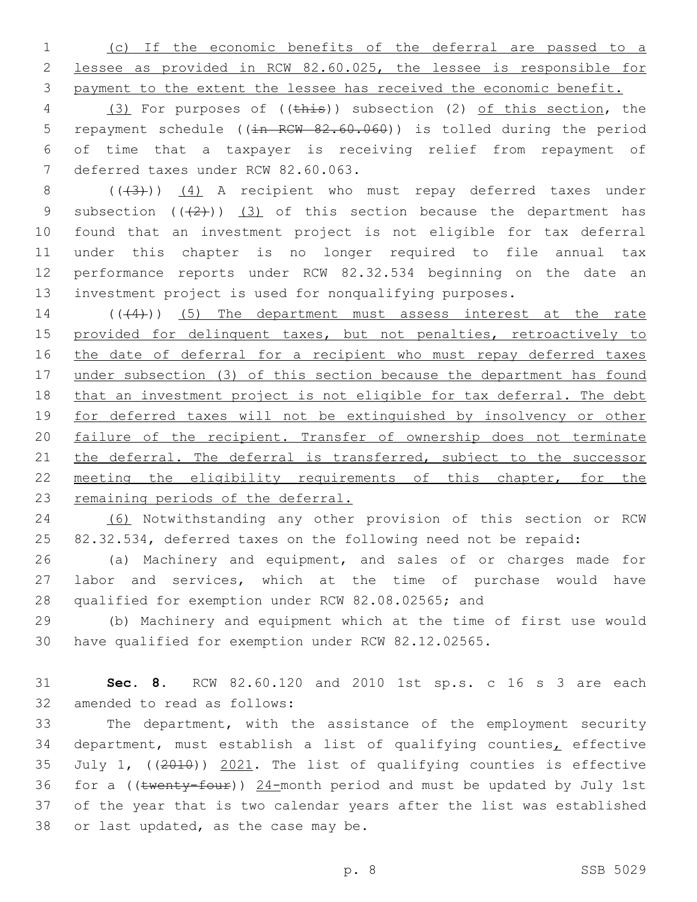1 (c) If the economic benefits of the deferral are passed to a 2 lessee as provided in RCW 82.60.025, the lessee is responsible for 3 payment to the extent the lessee has received the economic benefit.

4 (3) For purposes of ((this)) subsection (2) of this section, the 5 repayment schedule ((in RCW 82.60.060)) is tolled during the period 6 of time that a taxpayer is receiving relief from repayment of 7 deferred taxes under RCW 82.60.063.

8 (((43))) (4) A recipient who must repay deferred taxes under 9 subsection  $((2+))$   $(3)$  of this section because the department has found that an investment project is not eligible for tax deferral under this chapter is no longer required to file annual tax performance reports under RCW 82.32.534 beginning on the date an investment project is used for nonqualifying purposes.

14 (((4))) (5) The department must assess interest at the rate 15 provided for delinquent taxes, but not penalties, retroactively to 16 the date of deferral for a recipient who must repay deferred taxes 17 under subsection (3) of this section because the department has found 18 that an investment project is not eligible for tax deferral. The debt 19 for deferred taxes will not be extinguished by insolvency or other 20 failure of the recipient. Transfer of ownership does not terminate 21 the deferral. The deferral is transferred, subject to the successor 22 meeting the eligibility requirements of this chapter, for the 23 remaining periods of the deferral.

24 (6) Notwithstanding any other provision of this section or RCW 25 82.32.534, deferred taxes on the following need not be repaid:

26 (a) Machinery and equipment, and sales of or charges made for 27 labor and services, which at the time of purchase would have 28 qualified for exemption under RCW 82.08.02565; and

29 (b) Machinery and equipment which at the time of first use would 30 have qualified for exemption under RCW 82.12.02565.

31 **Sec. 8.** RCW 82.60.120 and 2010 1st sp.s. c 16 s 3 are each 32 amended to read as follows:

 The department, with the assistance of the employment security department, must establish a list of qualifying counties, effective July 1, ((2010)) 2021. The list of qualifying counties is effective 36 for a (( $t$ wenty-four))  $24$ -month period and must be updated by July 1st of the year that is two calendar years after the list was established 38 or last updated, as the case may be.